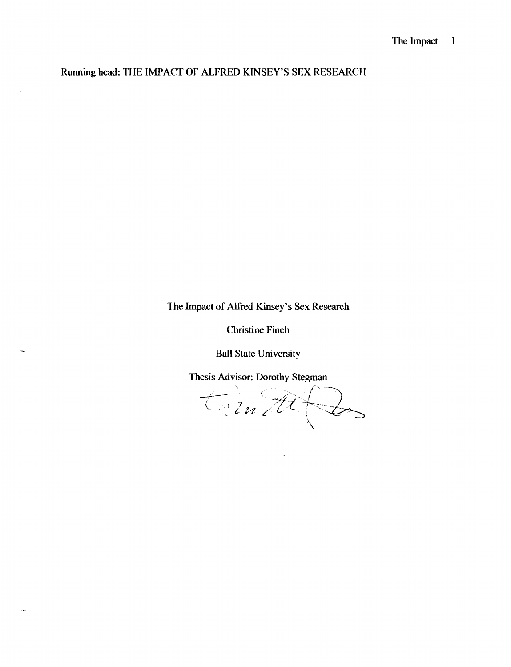Running head: THE IMPACT OF ALFRED KINSEY'S SEX RESEARCH

 $\ddotsc$ 

 $\mathcal{L}_{\text{max}}$ 

The Impact of Alfred Kinsey's Sex Research

Christine Finch

Ball State University

Thesis Advisor: Dorothy Stegman

trimtte 2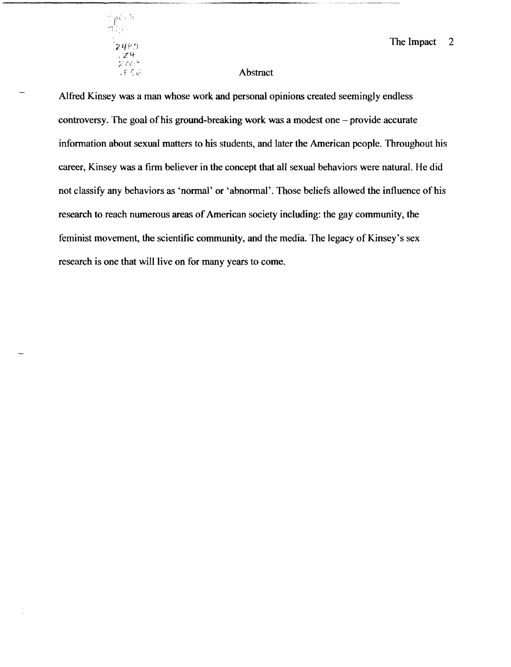

#### 2  $\mathbb{Z}_2$ 489

### Abstract

Alfred Kinsey was a man whose work and personal opinions created seemingly endless controversy. The goal of his ground-breaking work was a modest one  $-$  provide accurate information about sexual matters to his students, and later the American people. Throughout his career, Kinsey was a firm believer in the concept that all sexual behaviors were natural. He did not classify any behaviors as 'normal' or 'abnormal'. Those beliefs allowed the influence ofhis research to reach numerous areas of American society including: the gay community, the feminist movement, the scientific community, and the media. The legacy of Kinsey's sex research is one that will live on for many years to come.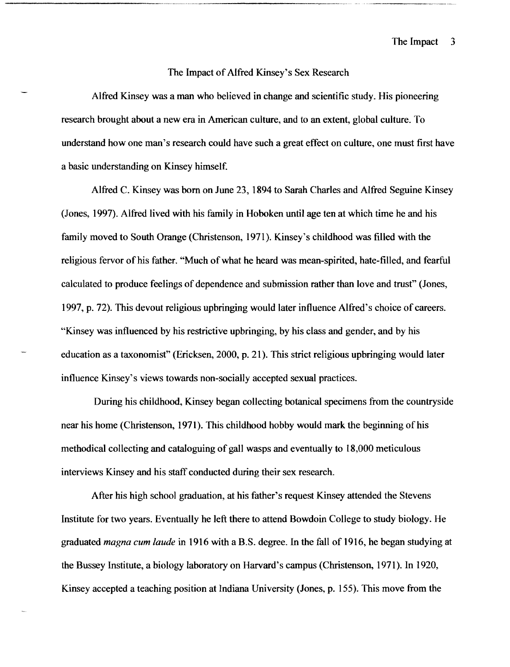#### The Impact of Alfred Kinsey's Sex Research

Alfred Kinsey was a man who believed in change and scientific study. His pioneering research brought about a new era in American culture, and to an extent, global culture. To understand how one man's research could have such a great effect on culture, one must first have a basic understanding on Kinsey himself.

Alfred C. Kinsey was born on June 23, 1894 to Sarah Charles and Alfred Seguine Kinsey (Jones, 1997). Alfred lived with his family in Hoboken until age ten at which time he and his family moved to South Orange (Christenson, 1971). Kinsey's childhood was filled with the religious fervor of his father. "Much of what he heard was mean-spirited, hate-filled, and fearful calculated to produce feelings of dependence and submission rather than love and trust" (Jones, 1997, p. 72). This devout religious upbringing would later influence Alfred's choice of careers. "Kinsey was influenced by his restrictive upbringing, by his class and gender, and by his education as a taxonomist" (Ericksen, 2000, p. 21). This strict religious upbringing would later influence Kinsey's views towards non-socially accepted sexual practices.

During his childhood, Kinsey began collecting botanical specimens from the countryside near his home (Christenson, 1971). This childhood hobby would mark the beginning of his methodical collecting and cataloguing of gall wasps and eventually to 18,000 meticulous interviews Kinsey and his staff conducted during their sex research.

After his high school graduation, at his father's request Kinsey attended the Stevens Institute for two years. Eventually he left there to attend Bowdoin College to study biology. He graduated *magna cum laude* in 1916 with a B.S. degree. In the fall of 1916, he began studying at the Bussey Institute, a biology laboratory on Harvard's campus (Christenson, 1971). In 1920, Kinsey accepted a teaching position at Indiana University (Jones, p. 155). This move from the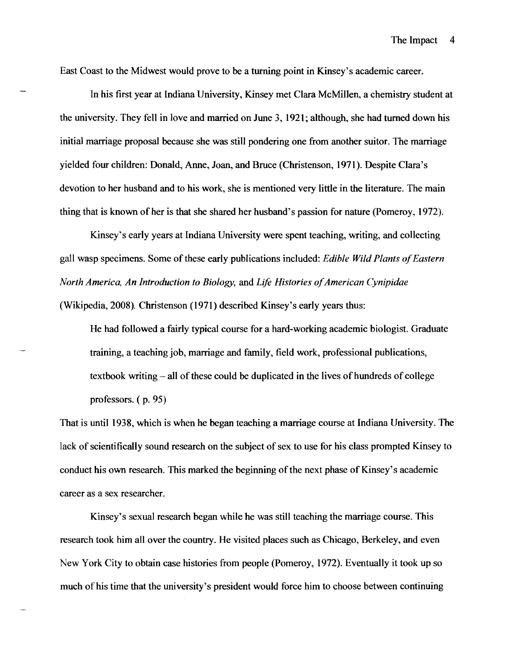East Coast to the Midwest would prove to be a turning point in Kinsey's academic career.

In his first year at Indiana University, Kinsey met Clara McMillen, a chemistry student at the university. They fell in love and married on June 3, 1921; although, she had turned down his initial marriage proposal because she was still pondering one from another suitor. The marriage yielded four children: Donald, Anne, Joan, and Bruce (Christenson, 1971). Despite Clara's devotion to her husband and to his work, she is mentioned very little in the literature. The main thing that is known of her is that she shared her husband's passion for nature (Pomeroy, 1972).

Kinsey's early years at Indiana University were spent teaching, writing, and collecting gall wasp specimens. Some of these early publications included: *Edible Wild Plants of Eastern North America, An Introduction to Biology, and Life Histories of American Cynipidae* (Wikipedia, 2008). Christenson (1971) described Kinsey's early years thus:

He had followed a fairly typical course for a hard-working academic biologist. Graduate training, a teaching job, marriage and family, field work, professional publications, textbook writing  $-\text{ all of these could be duplicated in the lives of hundreds of college}$ professors. ( p. 95)

That is until 1938, which is when he began teaching a marriage course at Indiana University. The lack of scientifically sound research on the subject of sex to use for his class prompted Kinsey to conduct his own research. This marked the beginning of the next phase of Kinsey's academic career as a sex researcher.

Kinsey's sexual research began while he was still teaching the marriage course. This research took him all over the country. He visited places such as Chicago, Berkeley, and even New York City to obtain case histories from people (Pomeroy, 1972). Eventually it took up so much of his time that the university's president would force him to choose between continuing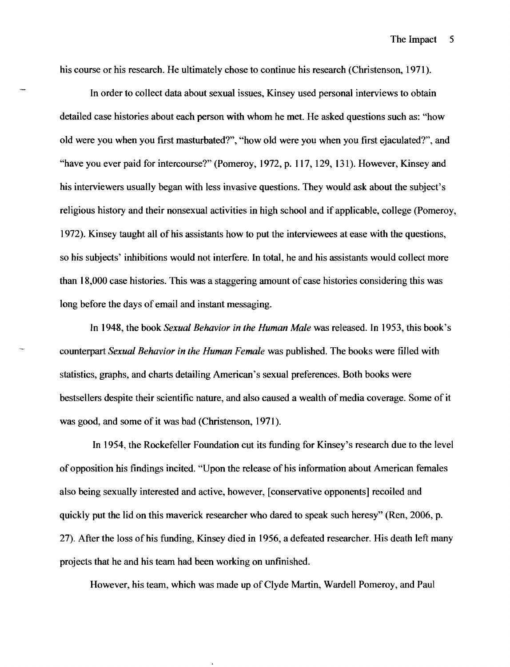his course or his research. He ultimately chose to continue his research (Christenson, 1971).

In order to collect data about sexual issues, Kinsey used personal interviews to obtain detailed case histories about each person with whom he met. He asked questions such as: "how old were you when you first masturbated?", "how old were you when you first ejaculated?", and "have you ever paid for intercourse?" (Pomeroy, 1972, p. 117, 129, 131). However, Kinsey and his interviewers usually began with less invasive questions. They would ask about the subject's religious history and their nonsexual activities in high school and if applicable, college (Pomeroy, 1972). Kinsey taught all ofhis assistants how to put the interviewees at ease with the questions, so his subjects' inhibitions would not interfere. In total, he and his assistants would collect more than 18,000 case histories. This was a staggering amount of case histories considering this was long before the days of email and instant messaging.

In 1948, the book *Sexual Behavior in the Human Male* was released. In 1953, this book's counterpart *Sexual Behavior in the Human Female* was published. The books were filled with statistics, graphs, and charts detailing American's sexual preferences. Both books were bestsellers despite their scientific nature, and also caused a wealth of media coverage. Some of it was good, and some of it was bad (Christenson, 1971).

In 1954, the Rockefeller Foundation cut its funding for Kinsey's research due to the level ofopposition his findings incited. "Upon the release of his information about American females also being sexually interested and active, however, [conservative opponents] recoiled and quickly put the lid on this maverick researcher who dared to speak such heresy" (Ren, 2006, p. 27). After the loss of his funding, Kinsey died in 1956, a defeated researcher. His death left many projects that he and his team had been working on unftnished.

However, his team, which was made up of Clyde Martin, Wardell Pomeroy, and Paul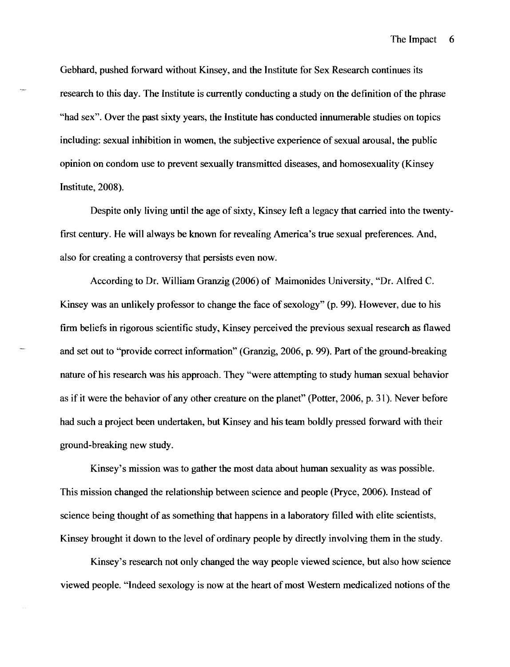Gebhard, pushed forward without Kinsey, and the Institute for Sex Research continues its research to this day. The Institute is currently conducting a study on the definition of the phrase "had sex". Over the past sixty years, the Institute has conducted innumerable studies on topics including: sexual inhibition in women, the subjective experience of sexual arousal, the public opinion on condom use to prevent sexually transmitted diseases, and homosexuality (Kinsey Institute, 2008).

Despite only living until the age of sixty, Kinsey left a legacy that carried into the twentyfirst century. He will always be known for revealing America's true sexual preferences. And, also for creating a controversy that persists even now.

According to Dr. William Granzig (2006) of Maimonides University, "Dr. Alfred C. Kinsey was an unlikely professor to change the face of sexology" (p. 99). However, due to his firm beliefs in rigorous scientific study, Kinsey perceived the previous sexual research as flawed and set out to "provide correct information" (Granzig, 2006, p. 99). Part of the ground-breaking nature of his research was his approach. They "were attempting to study human sexual behavior as if it were the behavior of any other creature on the planet" (Potter, 2006, p. 31). Never before had such a project been undertaken, but Kinsey and his team boldly pressed forward with their ground-breaking new study.

Kinsey's mission was to gather the most data about human sexuality as was possible. This mission changed the relationship between science and people (Pryce, 2006). Instead of science being thought of as something that happens in a laboratory filled with elite scientists, Kinsey brought it down to the level of ordinary people by directly involving them in the study.

Kinsey's research not only changed the way people viewed science, but also how science viewed people. "Indeed sexology is now at the heart of most Western medicalized notions of the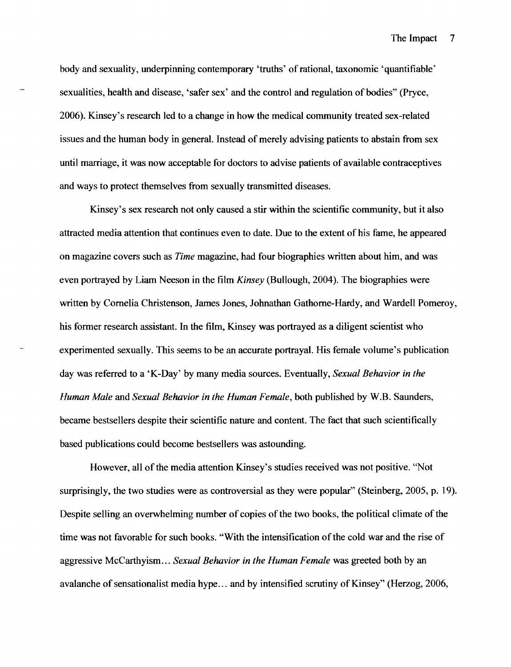body and sexuality, underpinning contemporary 'truths' of rational, taxonomic 'quantifiable' sexualities, health and disease, 'safer sex' and the control and regulation of bodies" (Pryce, 2006). Kinsey's research led to a change in how the medical community treated sex-related issues and the human body in general. Instead of merely advising patients to abstain from sex until marriage, it was now acceptable for doctors to advise patients of available contraceptives and ways to protect themselves from sexually transmitted diseases.

Kinsey's sex research not only caused a stir within the scientific community, but it also attracted media attention that continues even to date. Due to the extent of his fame, he appeared on magazine covers such as *Time* magazine, had four biographies written about him, and was even portrayed by Liam Neeson in the film *Kinsey* (Bullough, 2004). The biographies were written by Cornelia Christenson, James Jones, Johnathan Gathorne-Hardy, and Wardell Pomeroy, his former research assistant. In the film, Kinsey was portrayed as a diligent scientist who experimented sexually. This seems to be an accurate portrayal. His female volume's publication day was referred to a 'K-Day' by many media sources. Eventually, *Sexual Behavior in the Human Male* and *Sexual Behavior in the Human Female,* both published by W.B. Saunders, became bestsellers despite their scientific nature and content. The fact that such scientifically based publications could become bestsellers was astounding.

However, all of the media attention Kinsey's studies received was not positive. "Not surprisingly, the two studies were as controversial as they were popular" (Steinberg, 2005, p. 19). Despite selling an overwhelming number of copies of the two books, the political climate of the time was not favorable for such books. "With the intensification of the cold war and the rise of aggressive McCarthyism... *Sexual Behavior in the Human Female* was greeted both by an avalanche of sensationalist media hype... and by intensified scrutiny of Kinsey" (Herzog, 2006,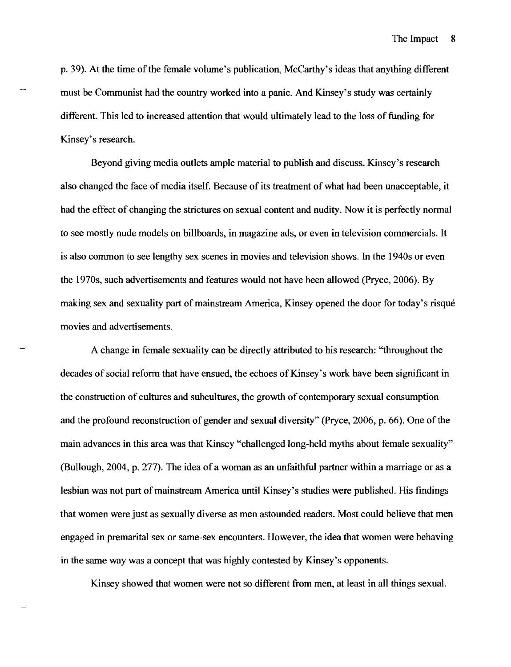p. 39). At the time of the female volume's publication, McCarthy's ideas that anything different must be Communist had the country worked into a panic. And Kinsey's study was certainly different. This led to increased attention that would ultimately lead to the loss of funding for Kinsey's research.

Beyond giving media outlets ample material to publish and discuss, Kinsey's research also changed the face of media itself. Because of its treatment of what had been unacceptable, it had the effect of changing the strictures on sexual content and nudity. Now it is perfectly normal to see mostly nude models on billboards, in magazine ads, or even in television commercials. It is also common to see lengthy sex scenes in movies and television shows. In the 1940s or even the 1970s, such advertisements and features would not have been allowed (Pryce, 2006). By making sex and sexuality part of mainstream America, Kinsey opened the door for today's risque movies and advertisements.

A change in female sexuality can be directly attributed to his research: "throughout the decades of social reform that have ensued, the echoes of Kinsey's work have been significant in the construction of cultures and subcultures, the growth of contemporary sexual consumption and the profound reconstruction of gender and sexual diversity" (Pryce, 2006, p. 66). One of the main advances in this area was that Kinsey "challenged long-held myths about female sexuality" (Bullough, 2004, p. 277). The idea of a woman as an unfaithful partner within a marriage or as a lesbian was not part of mainstream America until Kinsey's studies were published. His findings that women were just as sexually diverse as men astounded readers. Most could believe that men engaged in premarital sex or same-sex encounters. However, the idea that women were behaving in the same way was a concept that was highly contested by Kinsey's opponents.

Kinsey showed that women were not so different from men, at least in all things sexual.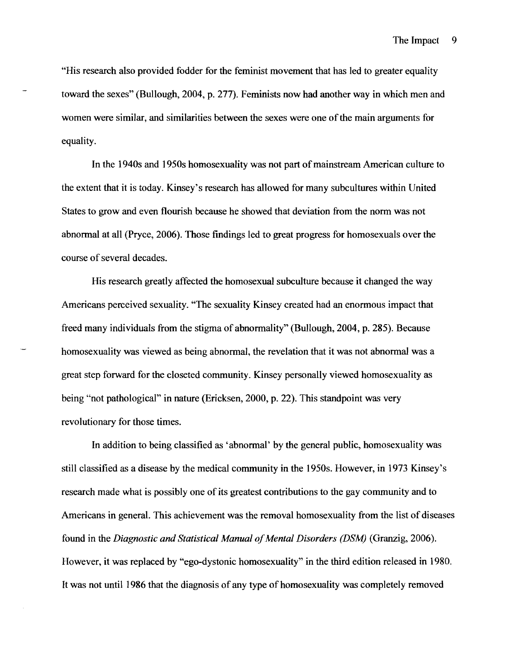"His research also provided fodder for the feminist movement that has led to greater equality toward the sexes" (Bullough, 2004, p. 277). Feminists now had another way in which men and women were similar, and similarities between the sexes were one of the main arguments for equality.

In the 1940s and 1950s homosexuality was not part of mainstream American culture to the extent that it is today. Kinsey's research has allowed for many subcultures within United States to grow and even flourish because he showed that deviation from the norm was not abnormal at all (Pryce, 2006). Those findings led to great progress for homosexuals over the course of several decades.

His research greatly affected the homosexual subculture because it changed the way Americans perceived sexuality. "The sexuality Kinsey created had an enormous impact that freed many individuals from the stigma of abnormality" (Bullough, 2004, p. 285). Because homosexuality was viewed as being abnormal, the revelation that it was not abnormal was a great step forward for the closeted community. Kinsey personally viewed homosexuality as being "not pathological" in nature (Ericksen, 2000, p. 22). This standpoint was very revolutionary for those times.

In addition to being classified as 'abnormal' by the general public, homosexuality was still classified as a disease by the medical community in the 1950s. However, in 1973 Kinsey's research made what is possibly one of its greatest contributions to the gay community and to Americans in general. This achievement was the removal homosexuality from the list of diseases found in the *Diagnostic and Statistical Manual of Mental Disorders (DSM)* (Granzig, 2006). However, it was replaced by "ego-dystonic homosexuality" in the third edition released in 1980. It was not until 1986 that the diagnosis of any type of homosexuality was completely removed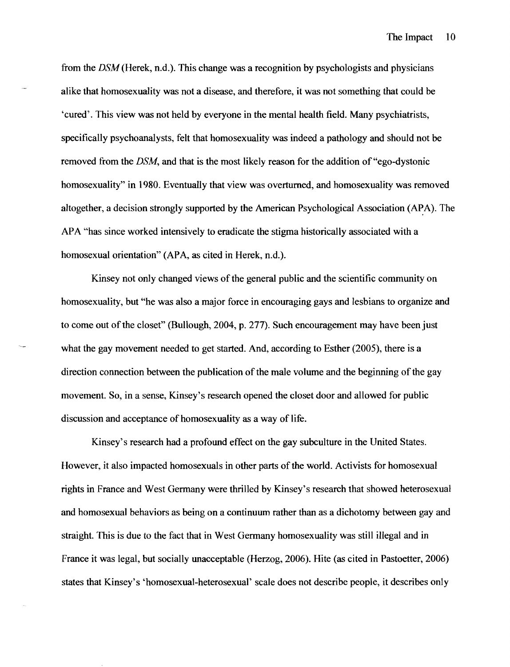from the *DSM* (Herek, n.d.). This change was a recognition by psychologists and physicians alike that homosexuality was not a disease, and therefore, it was not something that could be 'cured'. This view was not held by everyone in the mental health field. Many psychiatrists, specifically psychoanalysts, felt that homosexuality was indeed a pathology and should not be removed from the *DSM,* and that is the most likely reason for the addition of "ego-dystonic homosexuality" in 1980. Eventually that view was overturned, and homosexuality was removed altogether, a decision strongly supported by the American Psychological Association (APA). The APA "has since worked intensively to eradicate the stigma historically associated with a homosexual orientation" (APA, as cited in Herek, n.d.).

Kinsey not only changed views of the general public and the scientific community on homosexuality, but "he was also a major force in encouraging gays and lesbians to organize and to come out of the closet" (Bullough, 2004, p. 277). Such encouragement may have been just what the gay movement needed to get started. And, according to Esther (2005), there is a direction connection between the publication of the male volume and the beginning of the gay movement. So, in a sense, Kinsey's research opened the closet door and allowed for public discussion and acceptance of homosexuality as a way of life.

Kinsey's research had a profound effect on the gay subculture in the United States. However, it also impacted homosexuals in other parts of the world. Activists for homosexual rights in France and West Germany were thrilled by Kinsey's research that showed heterosexual and homosexual behaviors as being on a continuum rather than as a dichotomy between gay and straight. This is due to the fact that in West Germany homosexuality was still illegal and in France it was legal, but socially unacceptable (Herzog, 2006). Hite (as cited in Pastoetter, 2006) states that Kinsey's 'homosexual-heterosexual' scale does not describe people, it describes only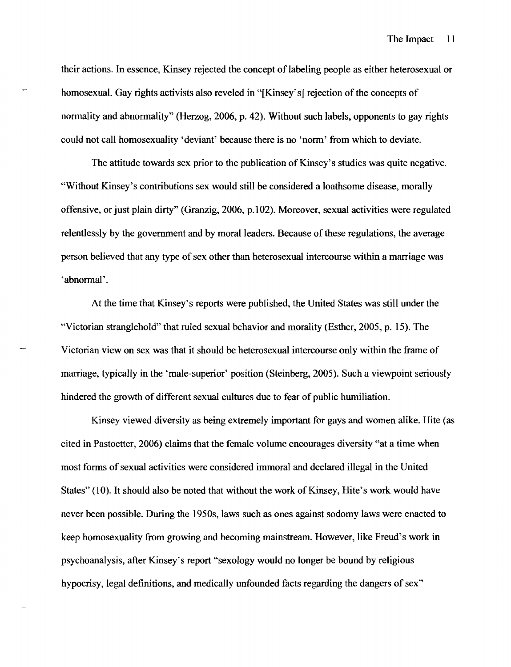their actions. In essence, Kinsey rejected the concept of labeling people as either heterosexual or homosexual. Gay rights activists also reveled in "[Kinsey's] rejection of the concepts of normality and abnormality" (Herzog, 2006, p. 42). Without such labels, opponents to gay rights could not call homosexuality 'deviant' because there is no 'norm' from which to deviate.

The attitude towards sex prior to the publication of Kinsey's studies was quite negative. "Without Kinsey's contributions sex would still be considered a loathsome disease, morally offensive, or just plain dirty" (Granzig, 2006, p.l02). Moreover, sexual activities were regulated relentlessly by the government and by moral leaders. Because of these regulations, the average person believed that any type of sex other than heterosexual intercourse within a marriage was 'abnormal'.

At the time that Kinsey's reports were published, the United States was still under the "Victorian stranglehold" that ruled sexual behavior and morality (Esther, 2005, p. 15). The Victorian view on sex was that it should be heterosexual intercourse only within the frame of marriage, typically in the 'male-superior' position (Steinberg, 2005). Such a viewpoint seriously hindered the growth of different sexual cultures due to fear of public humiliation.

Kinsey viewed diversity as being extremely important for gays and women alike. Hite (as cited in Pastoetter, 2006) claims that the female volume encourages diversity "at a time when most forms of sexual activities were considered immoral and declared illegal in the United States" (10). It should also be noted that without the work of Kinsey, Hite's work would have never been possible. During the 1950s, laws such as ones against sodomy laws were enacted to keep homosexuality from growing and becoming mainstream. However, like Freud's work in psychoanalysis, after Kinsey's report "sexology would no longer be bound by religious hypocrisy, legal definitions, and medically unfounded facts regarding the dangers of sex"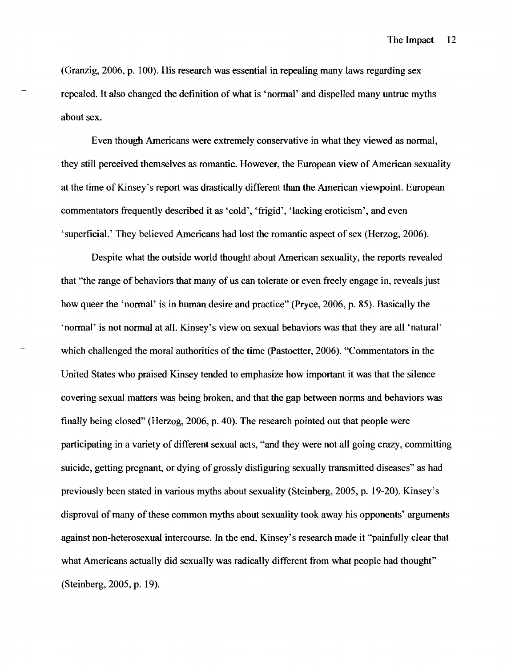(Granzig, 2006. p. 100). His research was essential in repealing many laws regarding sex repealed. It also changed the definition of what is 'normal' and dispelled many untrue myths about sex.

Even though Americans were extremely conservative in what they viewed as normal. they still perceived themselves as romantic. However. the European view of American sexuality at the time of Kinsey's report was drastically different than the American viewpoint. European commentators frequently described it as 'cold'. 'frigid'. 'lacking eroticism'. and even 'superficial.' They believed Americans had lost the romantic aspect of sex (Herzog. 2006).

Despite what the outside world thought about American sexuality. the reports revealed that "the range of behaviors that many of us can tolerate or even freely engage in. reveals just how queer the 'normal' is in human desire and practice" (Pryce. 2006. p. 85). Basically the 'normal' is not normal at all. Kinsey's view on sexual behaviors was that they are all 'natural' which challenged the moral authorities of the time (Pastoetter, 2006). "Commentators in the United States who praised Kinsey tended to emphasize how important it was that the silence covering sexual matters was being broken. and that the gap between norms and behaviors was finally being closed" (Herzog, 2006. p. 40). The research pointed out that people were participating in a variety of different sexual acts. "and they were not all going crazy. committing suicide. getting pregnant. or dying of grossly disfiguring sexually transmitted diseases" as had previously been stated in various myths about sexuality (Steinberg. 2005. p. 19-20). Kinsey's disproval of many of these common myths about sexuality took away his opponents' arguments against non-heterosexual intercourse. In the end. Kinsey's research made it "painfully clear that what Americans actually did sexually was radically different from what people had thought" (Steinberg. 2005. p. 19).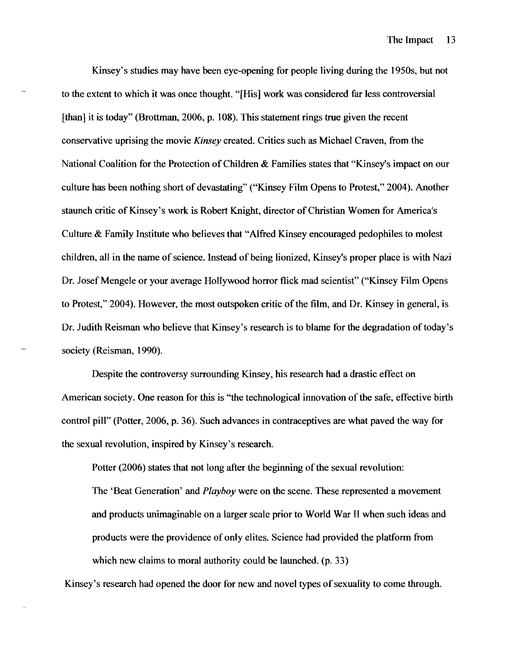Kinsey's studies may have been eye-opening for people living during the 1950s, but not to the extent to which it was once thought. "[His] work was considered far less controversial [than] it is today" (Brottman, 2006, p. 108). This statement rings true given the recent conservative uprising the movie *Kinsey* created. Critics such as Michael Craven, from the National Coalition for the Protection of Children  $\&$  Families states that "Kinsey's impact on our culture has been nothing short of devastating" ("Kinsey Film Opens to Protest," 2004). Another staunch critic of Kinsey's work is Robert Knight, director of Christian Women for America's Culture & Family Institute who believes that "Alfred Kinsey encouraged pedophiles to molest children, all in the name of science. Instead of being lionized, Kinsey's proper place is with Nazi Dr. Josef Mengele or your average Hollywood horror flick mad scientist" ("Kinsey Film Opens to Protest," 2004). However, the most outspoken critic of the film, and Dr. Kinsey in general, is Dr. Judith Reisman who believe that Kinsey's research is to blame for the degradation of today's society (Reisman, 1990).

Despite the controversy surrounding Kinsey, his research had a drastic effect on American society. One reason for this is "the technological innovation of the safe, effective birth control pill" (Potter, 2006, p. 36). Such advances in contraceptives are what paved the way for the sexual revolution, inspired by Kinsey's research.

Potter (2006) states that not long after the beginning of the sexual revolution:

The 'Beat Generation' and *Playboy* were on the scene. These represented a movement and products unimaginable on a larger scale prior to World War II when such ideas and products were the providence of only elites. Science had provided the platform from which new claims to moral authority could be launched. (p. 33)

Kinsey's research had opened the door for new and novel types of sexuality to come through.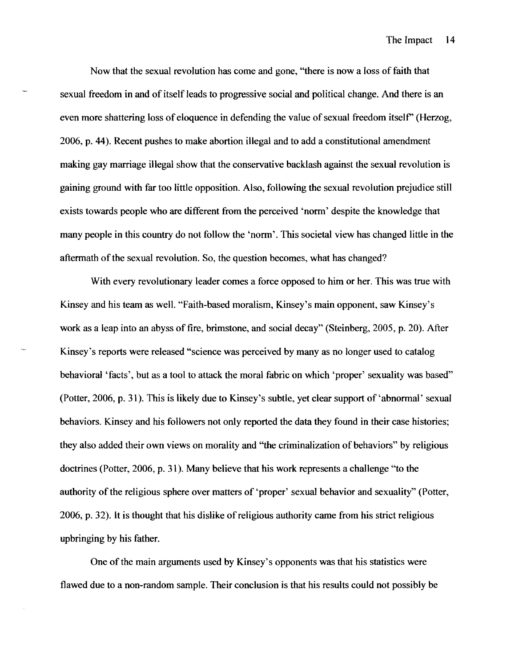Now that the sexual revolution has come and gone, "there is now a loss of faith that sexual freedom in and of itself leads to progressive social and political change. And there is an even more shattering loss of eloquence in defending the value of sexual freedom itself' (Herzog, 2006, p. 44). Recent pushes to make abortion illegal and to add a constitutional amendment making gay marriage illegal show that the conservative backlash against the sexual revolution is gaining ground with far too little opposition. Also, following the sexual revolution prejudice still exists towards people who are different from the perceived 'norm' despite the knowledge that many people in this country do not follow the 'norm'. This societal view has changed little in the aftermath of the sexual revolution. So, the question becomes, what has changed?

With every revolutionary leader comes a force opposed to him or her. This was true with Kinsey and his team as well. "Faith-based moralism, Kinsey's main opponent, saw Kinsey's work as a leap into an abyss of fire, brimstone, and social decay" (Steinberg, 2005, p. 20). After Kinsey's reports were released "science was perceived by many as no longer used to catalog behavioral 'facts', but as a tool to attack the moral fabric on which 'proper' sexuality was based" (Potter, 2006, p. 31). This is likely due to Kinsey's subtle, yet clear support of 'abnormal' sexual behaviors. Kinsey and his followers not only reported the data they found in their case histories; they also added their own views on morality and "the criminalization of behaviors" by religious doctrines (Potter, 2006, p. 31). Many believe that his work represents a challenge "to the authority of the religious sphere over matters of 'proper' sexual behavior and sexuality" (Potter, 2006, p. 32). It is thought that his dislike of religious authority came from his strict religious upbringing by his father.

One of the main arguments used by Kinsey's opponents was that his statistics were flawed due to a non-random sample. Their conclusion is that his results could not possibly be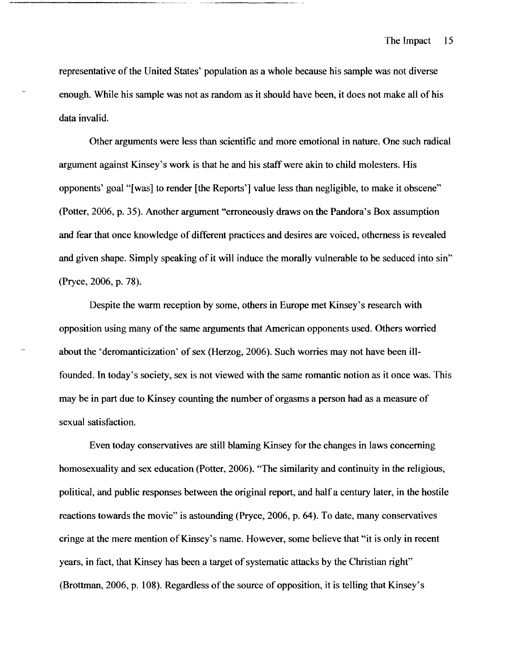representative of the United States' population as a whole because his sample was not diverse enough. While his sample was not as random as it should have been, it does not make all of his data invalid.

Other arguments were less than scientific and more emotional in nature. One such radical argument against Kinsey's work is that he and his staff were akin to child molesters. His opponents' goal "[was] to render [the Reports'] value less than negligible, to make it obscene" (Potter, 2006, p. 35). Another argument "erroneously draws on the Pandora's Box assumption and fear that once knowledge of different practices and desires are voiced, otherness is revealed and given shape. Simply speaking of it will induce the morally vulnerable to be seduced into sin" (Pryce, 2006, p. 78).

Despite the warm reception by some, others in Europe met Kinsey's research with opposition using many of the same arguments that American opponents used. Others worried about the 'deromanticization' of sex (Herzog, 2006). Such worries may not have been illfounded. In today's society, sex is not viewed with the same romantic notion as it once was. This may be in part due to Kinsey counting the number of orgasms a person had as a measure of sexual satisfaction.

Even today conservatives are still blaming Kinsey for the changes in laws concerning homosexuality and sex education (Potter, 2006). "The similarity and continuity in the religious, political, and public responses between the original report, and half a century later, in the hostile reactions towards the movie" is astounding (Pryce, 2006, p. 64). To date, many conservatives cringe at the mere mention of Kinsey's name. However, some believe that "it is only in recent years, in fact, that Kinsey has been a target of systematic attacks by the Christian right" (Brottman, 2006, p. 108). Regardless of the source of opposition, it is telling that Kinsey's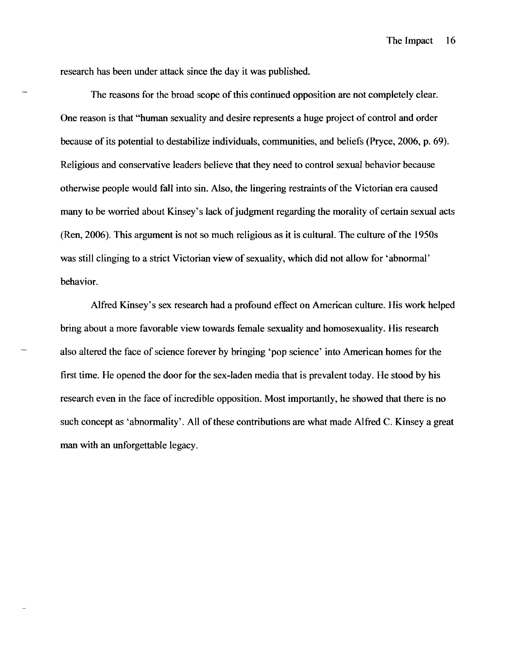research has been under attack since the day it was published.

The reasons for the broad scope of this continued opposition are not completely clear. One reason is that "human sexuality and desire represents a huge project of control and order because of its potential to destabilize individuals, communities, and beliefs (Pryce, 2006, p. 69). Religious and conservative leaders believe that they need to control sexual behavior because otherwise people would fall into sin. Also, the lingering restraints ofthe Victorian era caused many to be worried about Kinsey's lack of judgment regarding the morality of certain sexual acts  $(Ren, 2006)$ . This argument is not so much religious as it is cultural. The culture of the 1950s was still clinging to a strict Victorian view of sexuality, which did not allow for 'abnormal' behavior.

Alfred Kinsey's sex research had a profound effect on American culture. His work helped bring about a more favorable view towards female sexuality and homosexuality. His research also altered the face of science forever by bringing 'pop science' into American homes for the first time. He opened the door for the sex-laden media that is prevalent today. He stood by his research even in the face of incredible opposition. Most importantly, he showed that there is no such concept as 'abnormality'. All of these contributions are what made Alfred C. Kinsey a great man with an unforgettable legacy.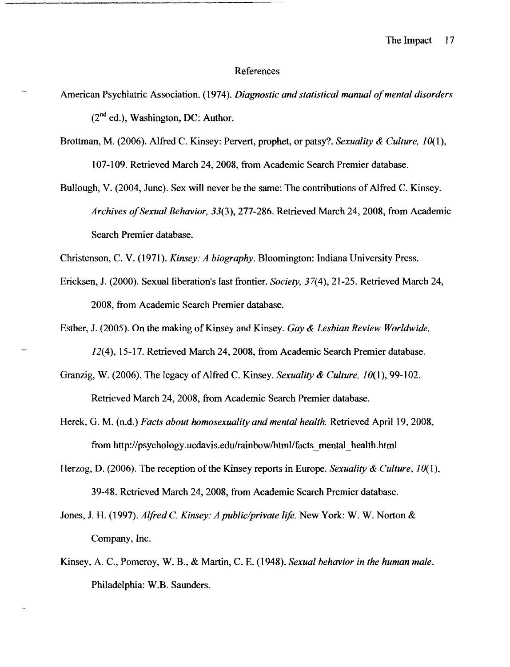#### References

- American Psychiatric Association. (1974). *Diagnostic and statistical manual of mental disorders*  $(2<sup>nd</sup>$  ed.), Washington, DC: Author.
	- Brottman, M. (2006). Alfred C. Kinsey: Pervert, prophet, or patsy? *Sexuality* & *Culture, 10(1),*  107-109. Retrieved March 24, 2008, from Academic Search Premier database.
	- Bullough, V. (2004, June). Sex will never be the same: The contributions of Alfred C. Kinsey. *Archives ofSexual Behavior,* 33(3),277-286. Retrieved March 24,2008, from Academic Search Premier database.

Christenson, C. V. (1971). *Kinsey: A biography.* Bloomington: Indiana University Press.

- Ericksen, J. (2000). Sexual liberation's last frontier. *Society,* 37(4),21-25. Retrieved March 24, 2008, from Academic Search Premier database.
- Esther, J. (2005). On the making of Kinsey and Kinsey. *Gay* & *Lesbian Review Worldwide,*  12(4), 15-17. Retrieved March 24, 2008, from Academic Search Premier database.
- Granzig, W. (2006). The legacy of Alfred C. Kinsey. *Sexuality & Culture, 10*(1), 99-102. Retrieved March 24, 2008, from Academic Search Premier database.
- Herek, G. M. (n.d.) *Facts about homosexuality and mental health.* Retrieved April 19,2008, from http://psychology.ucdavis.edu/rainbow/html/facts\_mental\_health.html
- Herzog, D. (2006). The reception of the Kinsey reports in Europe. *Sexuality & Culture*, 10(1), 39-48. Retrieved March 24, 2008, from Academic Search Premier database.
- Jones, J. H. (1997). *Alfred* C. *Kinsey: A public/private lift.* New York: W. W. Norton & Company, Inc.
- Kinsey, A. *C.,* Pomeroy, W. B., & Martin, C. E. (1948). *Sexual behavior in the human male.*  Philadelphia: W.B. Saunders.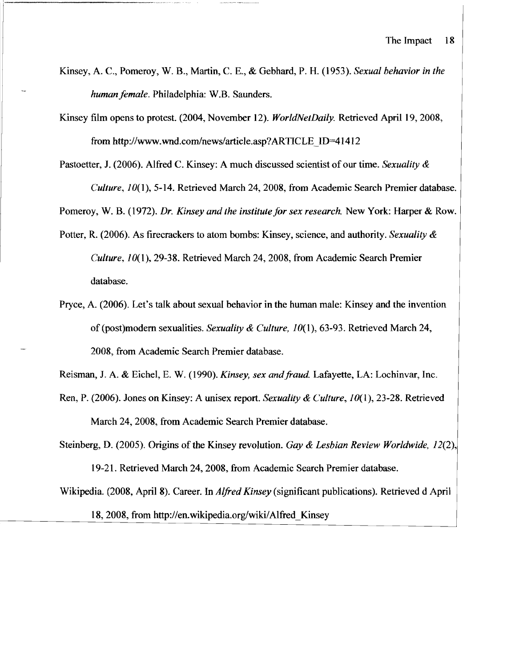- Kinsey, A. c, Pomeroy, W. B., Martin, C. E., & Gebhard, P. H. (1953). *Sexual behavior in the humanfemale.* Philadelphia: W.B. Saunders.
- Kinsey film opens to protest. (2004, November 12). *WorldNetDaily.* Retrieved April 19, 2008, from http://www.wnd.com/news/article.asp?ARTICLE\_ID=41412
- Pastoetter, J. (2006). Alfred C. Kinsey: A much discussed scientist of our time. *Sexuality & Culture,* 1*O(* I), 5-14. Retrieved March 24, 2008, from Academic Search Premier database.

Pomeroy, W. B. (1972). *Dr. Kinsey and the institute for sex research.* New York: Harper & Row.

- Potter, R. (2006). As firecrackers to atom bombs: Kinsey, science, and authority. *Sexuality* & *Culture, 10(1),29-38.* Retrieved March 24,2008, from Academic Search Premier database.
- Pryce, A. (2006). Let's talk about sexual behavior in the human male: Kinsey and the invention of (post)modem sexualities. *Sexuality* & *Culture, 10(1),63-93.* Retrieved March 24, 2008, from Academic Search Premier database.

Reisman, J. A. & Eichel, E. W. (1990). *Kinsey, sex andfraud.* Lafayette, LA: Lochinvar, Inc.

Ren, P. (2006). Jones on Kinsey: A unisex report. *Sexuality* & *Culture, 10(1),* 23-28. Retrieved March 24,2008, from Academic Search Premier database.

Steinberg, D. (2005). Origins of the Kinsey revolution. *Gay & Lesbian Review Worldwide*, 12(2), 19-21. Retrieved March 24, 2008, from Academic Search Premier database.

Wikipedia. (2008, April 8). Career. In *Alfred Kinsey* (significant publications). Retrieved d April

18, 2008, from http://en.wikipedia.org/wiki/Alfred Kinsey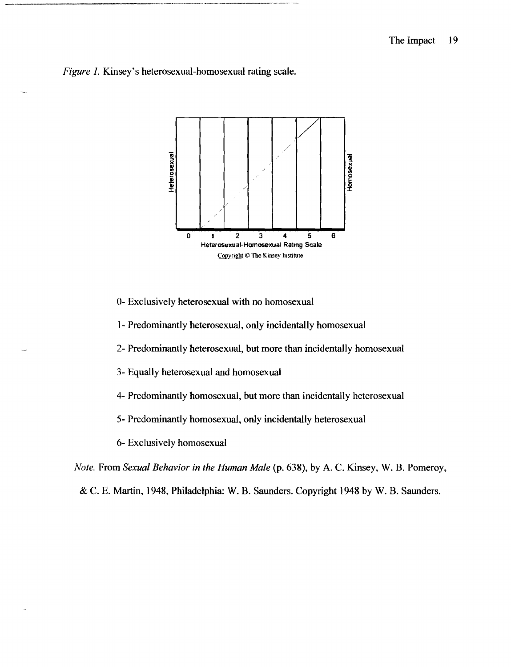## *Figure* 1. Kinsey's heterosexual-homosexual rating scale.



0- Exclusively heterosexual with no homosexual

1- Predominantly heterosexual, only incidentally homosexual

2- Predominantly heterosexual, but more than incidentally homosexual

3- Equally heterosexual and homosexual

4- Predominantly homosexual, but more than incidentally heterosexual

5- Predominantly homosexual, only incidentally heterosexual

6- Exclusively homosexual

*Note.* From *Sexual Behavior in the Human Male* (p. 638), by A. C. Kinsey, W. B. Pomeroy,

& C. E. Martin, 1948, Philadelphia: W. B. Saunders. Copyright 1948 by W. B. Saunders.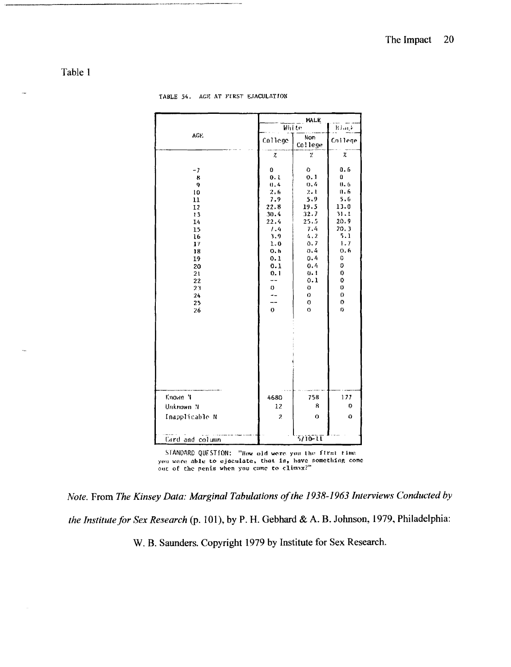## Table 1

|                    |                | MALE<br>$R$ large |              |  |  |
|--------------------|----------------|-------------------|--------------|--|--|
| AGE.               |                | Whi to            |              |  |  |
|                    | College        | Non<br>College    | College      |  |  |
|                    | χ              | χ                 | χ            |  |  |
| - 7                | 0              | O.                | 0.6          |  |  |
| 8                  | 0. L           | 0.1               | 0            |  |  |
| 9                  | 0.4            | 0.4               | 0.6          |  |  |
| 10                 | 2.6            | $2 - 1$           | 0.6          |  |  |
| 11                 | 7.9            | 5.9               | 5.6          |  |  |
| 12                 | 22.8           | 19.5              | 13.0<br>31.1 |  |  |
| 13                 | 30.4<br>22.4   | 32.7<br>25.5      | 20.9         |  |  |
| 14<br>15           | 1.4            | 7.4               | 20.3         |  |  |
| 16                 | 3.9            | 4,2               | 5.1          |  |  |
| 17                 | 1.0            | 0.7               | 1.7          |  |  |
| 18                 | 0.6            | 0.4               | 0.6          |  |  |
| 19                 | 0.1            | 0.4               | 0            |  |  |
| 20                 | 0.1            | 0.4               | 0            |  |  |
| 21                 | 0.1            | 0.1               | 0            |  |  |
| 22                 |                | 0.1               | 0            |  |  |
| 21                 | 0              | 0                 | 0            |  |  |
| 2 <sub>9</sub>     | --             | 0                 | 0            |  |  |
| 25                 |                | $\mathbf 0$       | $\sigma$     |  |  |
| 26                 | 0              | $\sigma$          | f)           |  |  |
|                    |                |                   |              |  |  |
|                    |                |                   |              |  |  |
|                    |                |                   |              |  |  |
|                    |                |                   |              |  |  |
|                    |                |                   |              |  |  |
|                    |                |                   |              |  |  |
|                    |                |                   |              |  |  |
|                    |                |                   |              |  |  |
|                    |                |                   |              |  |  |
| Known <sup>1</sup> | 4680           | 758               | 177          |  |  |
| Unknown N          | 12             | 8                 | 0            |  |  |
| Inapplicable N     | $\mathfrak{I}$ | $\circ$           | 0            |  |  |
|                    |                |                   |              |  |  |
| Card and column    |                | 5710-11           |              |  |  |

TABLE 54. AGE AT FIRST EJACULATION

STANDARD QUESTION: "How old were you the first time you were able to ejaculate, that is, have something come out of the penis when you came to climax?"

*Note.* From *The Kinsey Data: Marginal Tabulations ofthe* 1938-1963 *Interviews Conducted by the Institute for Sex Research* (p. 101), by P. H. Gebhard & A. B. Johnson, 1979, Philadelphia:

W. B. Saunders. Copyright 1979 by Institute for Sex Research.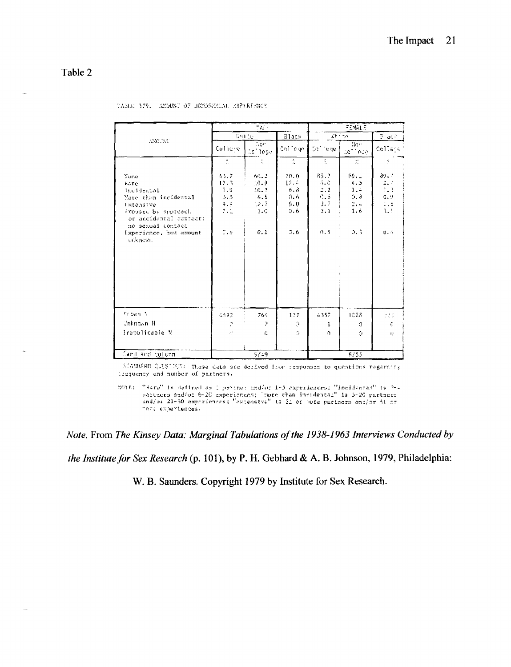Table 2

|                                                                                                                                              | 부품도                                                                             |                                                          |                                                  | FEMALE                                                                 |                                                                              |                                                             |
|----------------------------------------------------------------------------------------------------------------------------------------------|---------------------------------------------------------------------------------|----------------------------------------------------------|--------------------------------------------------|------------------------------------------------------------------------|------------------------------------------------------------------------------|-------------------------------------------------------------|
| 320031                                                                                                                                       | Ente                                                                            |                                                          | Black                                            | $A = 5$                                                                |                                                                              | $\frac{\pi}{2}$ or $^{\circ}$                               |
|                                                                                                                                              | Cullene                                                                         | $-5$<br>tal bege-                                        | Colliege                                         | Co l'ene                                                               | No.<br>$36 - 642$                                                            | College S                                                   |
|                                                                                                                                              | ÷.                                                                              |                                                          | Ã.                                               | S.,                                                                    | $\mathbb{X}$                                                                 | $\mathcal{L}$                                               |
| None<br><b>Kare</b><br>theideaial<br>More than incidental<br>Extensive<br>Avoused by Brureach<br>or accidental contact:<br>no sexual contact | 63.7<br>$12 - 3$<br>71, 91<br>3.5<br>915.<br>242<br>$\mathbb{Z}$ , $\mathbb{R}$ | 60.2<br>10-9<br>20.2<br>$-4.5$<br>32.7<br>$1 - C$<br>0.1 | 70.0<br>12. A<br>6.3<br>0.6<br>9.0<br>5.6<br>7.6 | 85.2<br>$\alpha_{\rm{max}}$<br>2.2<br>$2 - 5$<br>$3 - 7$<br>3.4<br>ñ.5 | 89.1<br>4.3<br>1.4<br>$0, \delta$<br>2.4<br>1.6<br>$\mathcal{I},\mathcal{I}$ | 39.7<br>2.7<br>1.3<br>$0.9$<br>$1.2$<br>$3.1$<br><b>U.A</b> |
| Experience, but amount<br>unkaczn.                                                                                                           |                                                                                 |                                                          |                                                  |                                                                        |                                                                              |                                                             |
| Fridayn N                                                                                                                                    | 4692                                                                            | 764                                                      | 177                                              | 4357                                                                   | 1028                                                                         | 经主                                                          |
| <b>Coknown N</b>                                                                                                                             | $\mathcal{I}$                                                                   | 2                                                        | Ó.                                               | 1                                                                      | O                                                                            | G.                                                          |
| irapplicable N                                                                                                                               | đ.                                                                              | C.                                                       | $\sigma$                                         | n.                                                                     | 5                                                                            | $\mathbf{H}$                                                |
| Canit and collumn                                                                                                                            |                                                                                 | 5/19                                                     |                                                  |                                                                        | 5/55                                                                         |                                                             |

|  |  |  |  | TAMIE 379. AMDUNI OF HOMOSHMILL AXPERIENCE |  |
|--|--|--|--|--------------------------------------------|--|
|--|--|--|--|--------------------------------------------|--|

 ${\rm S75700580}$   ${\rm Q/US}$   ${\rm T974}$  . These data are deilyed from responses to questions regarding :iguency and number of partners,

NGTE: "Bare" is defined as 1 partner and/or 1-3 experiences: "incidental" is 2-<br>partners and/or 6-20 experiences; "more than incidental" is 5-20 pertners<br>and/or 21-50 experiences: "extensive" is 21 or more perthers and/or rore experiences.

*Note.* From *The Kinsey Data: Marginal Tabulations of the 1938-1963 Interviews Conducted by* 

*the Institute for Sex Research* (p. 101), by P. H. Gebhard & A. B. Johnson, 1979, Philadelphia:

W. B. Saunders. Copyright 1979 by Institute for Sex Research.